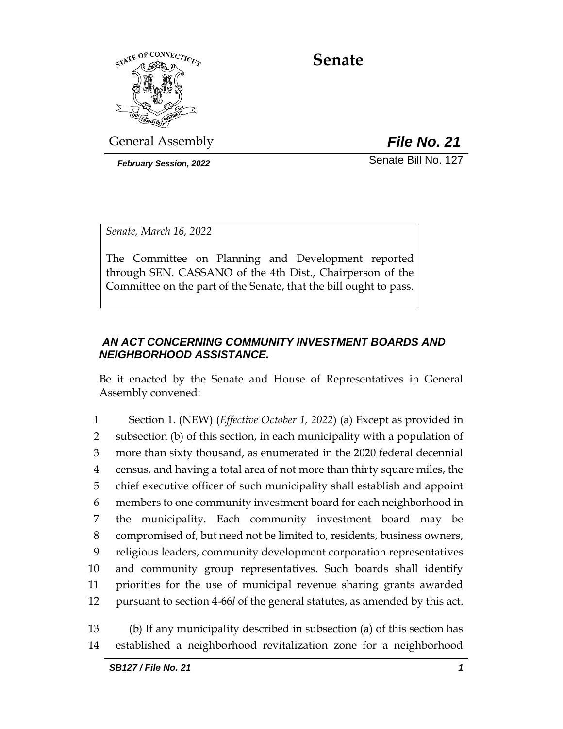

# **Senate**

General Assembly *File No. 21*

*February Session, 2022* Senate Bill No. 127

*Senate, March 16, 2022*

The Committee on Planning and Development reported through SEN. CASSANO of the 4th Dist., Chairperson of the Committee on the part of the Senate, that the bill ought to pass.

# *AN ACT CONCERNING COMMUNITY INVESTMENT BOARDS AND NEIGHBORHOOD ASSISTANCE.*

Be it enacted by the Senate and House of Representatives in General Assembly convened:

 Section 1. (NEW) (*Effective October 1, 2022*) (a) Except as provided in subsection (b) of this section, in each municipality with a population of more than sixty thousand, as enumerated in the 2020 federal decennial census, and having a total area of not more than thirty square miles, the chief executive officer of such municipality shall establish and appoint members to one community investment board for each neighborhood in the municipality. Each community investment board may be compromised of, but need not be limited to, residents, business owners, religious leaders, community development corporation representatives and community group representatives. Such boards shall identify priorities for the use of municipal revenue sharing grants awarded pursuant to section 4-66*l* of the general statutes, as amended by this act.

13 (b) If any municipality described in subsection (a) of this section has 14 established a neighborhood revitalization zone for a neighborhood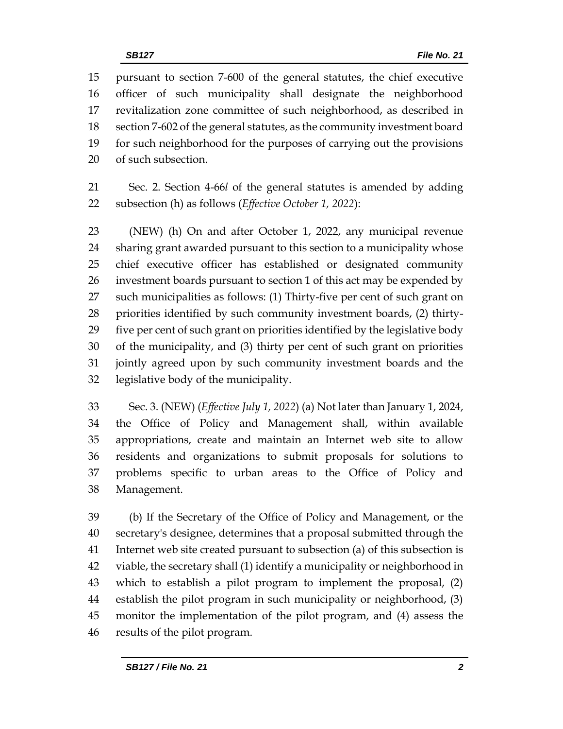pursuant to section 7-600 of the general statutes, the chief executive officer of such municipality shall designate the neighborhood revitalization zone committee of such neighborhood, as described in section 7-602 of the general statutes, as the community investment board for such neighborhood for the purposes of carrying out the provisions of such subsection.

 Sec. 2. Section 4-66*l* of the general statutes is amended by adding subsection (h) as follows (*Effective October 1, 2022*):

 (NEW) (h) On and after October 1, 2022, any municipal revenue sharing grant awarded pursuant to this section to a municipality whose chief executive officer has established or designated community investment boards pursuant to section 1 of this act may be expended by such municipalities as follows: (1) Thirty-five per cent of such grant on priorities identified by such community investment boards, (2) thirty- five per cent of such grant on priorities identified by the legislative body of the municipality, and (3) thirty per cent of such grant on priorities jointly agreed upon by such community investment boards and the legislative body of the municipality.

 Sec. 3. (NEW) (*Effective July 1, 2022*) (a) Not later than January 1, 2024, the Office of Policy and Management shall, within available appropriations, create and maintain an Internet web site to allow residents and organizations to submit proposals for solutions to problems specific to urban areas to the Office of Policy and Management.

 (b) If the Secretary of the Office of Policy and Management, or the secretary's designee, determines that a proposal submitted through the Internet web site created pursuant to subsection (a) of this subsection is viable, the secretary shall (1) identify a municipality or neighborhood in which to establish a pilot program to implement the proposal, (2) establish the pilot program in such municipality or neighborhood, (3) monitor the implementation of the pilot program, and (4) assess the results of the pilot program.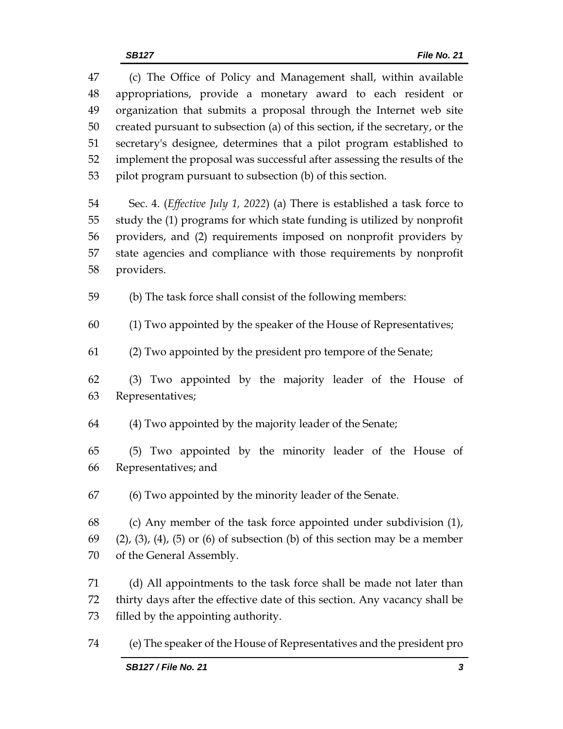(c) The Office of Policy and Management shall, within available appropriations, provide a monetary award to each resident or organization that submits a proposal through the Internet web site created pursuant to subsection (a) of this section, if the secretary, or the secretary's designee, determines that a pilot program established to implement the proposal was successful after assessing the results of the pilot program pursuant to subsection (b) of this section. Sec. 4. (*Effective July 1, 2022*) (a) There is established a task force to study the (1) programs for which state funding is utilized by nonprofit providers, and (2) requirements imposed on nonprofit providers by state agencies and compliance with those requirements by nonprofit providers. (b) The task force shall consist of the following members: (1) Two appointed by the speaker of the House of Representatives; (2) Two appointed by the president pro tempore of the Senate; (3) Two appointed by the majority leader of the House of Representatives; (4) Two appointed by the majority leader of the Senate; (5) Two appointed by the minority leader of the House of Representatives; and (6) Two appointed by the minority leader of the Senate. (c) Any member of the task force appointed under subdivision (1), (2), (3), (4), (5) or (6) of subsection (b) of this section may be a member of the General Assembly. (d) All appointments to the task force shall be made not later than thirty days after the effective date of this section. Any vacancy shall be filled by the appointing authority.

(e) The speaker of the House of Representatives and the president pro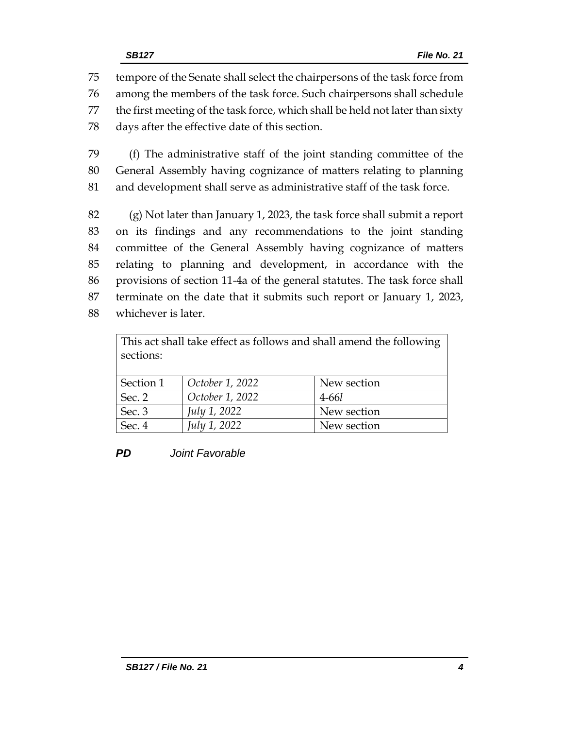tempore of the Senate shall select the chairpersons of the task force from among the members of the task force. Such chairpersons shall schedule the first meeting of the task force, which shall be held not later than sixty days after the effective date of this section.

 (f) The administrative staff of the joint standing committee of the General Assembly having cognizance of matters relating to planning and development shall serve as administrative staff of the task force.

 (g) Not later than January 1, 2023, the task force shall submit a report on its findings and any recommendations to the joint standing committee of the General Assembly having cognizance of matters relating to planning and development, in accordance with the provisions of section 11-4a of the general statutes. The task force shall terminate on the date that it submits such report or January 1, 2023, whichever is later.

| This act shall take effect as follows and shall amend the following<br>sections: |                 |             |  |  |
|----------------------------------------------------------------------------------|-----------------|-------------|--|--|
| Section 1                                                                        | October 1, 2022 | New section |  |  |
| Sec. 2                                                                           | October 1, 2022 | $4 - 66l$   |  |  |
| Sec. 3                                                                           | July 1, 2022    | New section |  |  |
| Sec. 4                                                                           | July 1, 2022    | New section |  |  |

# *PD Joint Favorable*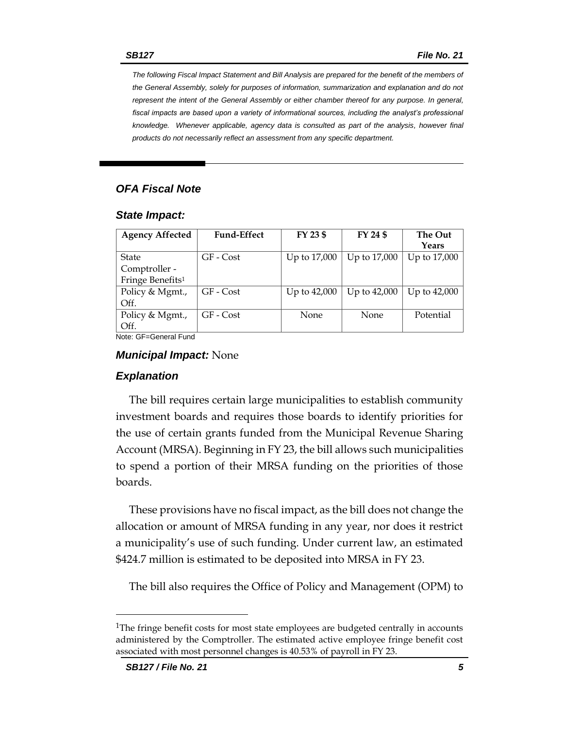*The following Fiscal Impact Statement and Bill Analysis are prepared for the benefit of the members of the General Assembly, solely for purposes of information, summarization and explanation and do not represent the intent of the General Assembly or either chamber thereof for any purpose. In general,*  fiscal impacts are based upon a variety of informational sources, including the analyst's professional *knowledge. Whenever applicable, agency data is consulted as part of the analysis, however final products do not necessarily reflect an assessment from any specific department.*

# *OFA Fiscal Note*

#### *State Impact:*

| <b>Agency Affected</b>                                                               | <b>Fund-Effect</b> | FY 23 \$     | FY 24 \$     | The Out<br>Years |
|--------------------------------------------------------------------------------------|--------------------|--------------|--------------|------------------|
| State                                                                                | GF - Cost          | Up to 17,000 | Up to 17,000 | Up to 17,000     |
| Comptroller -                                                                        |                    |              |              |                  |
| Fringe Benefits <sup>1</sup>                                                         |                    |              |              |                  |
| Policy & Mgmt.,                                                                      | $GF - Cost$        | Up to 42,000 | Up to 42,000 | Up to 42,000     |
| Off.                                                                                 |                    |              |              |                  |
| Policy & Mgmt.,                                                                      | GF - Cost          | None         | None         | Potential        |
| Off.                                                                                 |                    |              |              |                  |
| Mata, $\bigcap_{n=1}^{\infty}$ $\bigcap_{n=1}^{\infty}$ and $\bigcap_{n=1}^{\infty}$ |                    |              |              |                  |

Note: GF=General Fund

#### *Municipal Impact:* None

#### *Explanation*

The bill requires certain large municipalities to establish community investment boards and requires those boards to identify priorities for the use of certain grants funded from the Municipal Revenue Sharing Account (MRSA). Beginning in FY 23, the bill allows such municipalities to spend a portion of their MRSA funding on the priorities of those boards.

These provisions have no fiscal impact, as the bill does not change the allocation or amount of MRSA funding in any year, nor does it restrict a municipality's use of such funding. Under current law, an estimated \$424.7 million is estimated to be deposited into MRSA in FY 23.

The bill also requires the Office of Policy and Management (OPM) to

<sup>&</sup>lt;sup>1</sup>The fringe benefit costs for most state employees are budgeted centrally in accounts administered by the Comptroller. The estimated active employee fringe benefit cost associated with most personnel changes is 40.53% of payroll in FY 23.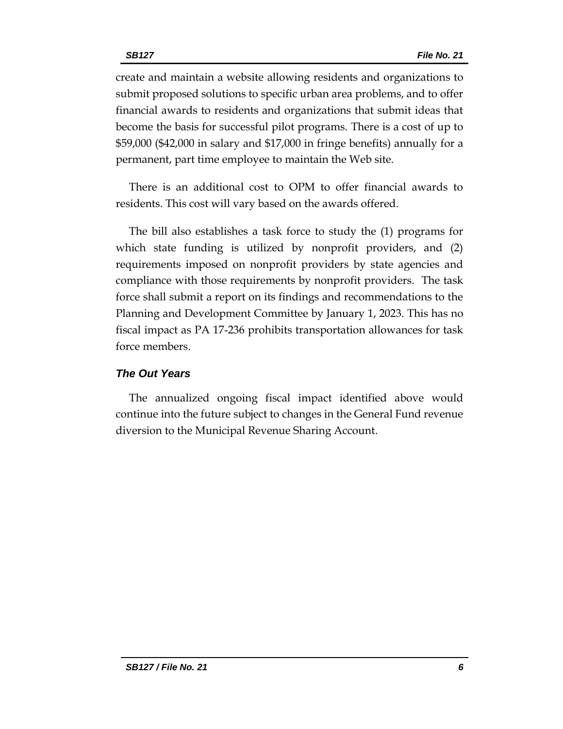create and maintain a website allowing residents and organizations to submit proposed solutions to specific urban area problems, and to offer financial awards to residents and organizations that submit ideas that become the basis for successful pilot programs. There is a cost of up to \$59,000 (\$42,000 in salary and \$17,000 in fringe benefits) annually for a permanent, part time employee to maintain the Web site.

There is an additional cost to OPM to offer financial awards to residents. This cost will vary based on the awards offered.

The bill also establishes a task force to study the (1) programs for which state funding is utilized by nonprofit providers, and (2) requirements imposed on nonprofit providers by state agencies and compliance with those requirements by nonprofit providers. The task force shall submit a report on its findings and recommendations to the Planning and Development Committee by January 1, 2023. This has no fiscal impact as PA 17-236 prohibits transportation allowances for task force members.

# *The Out Years*

The annualized ongoing fiscal impact identified above would continue into the future subject to changes in the General Fund revenue diversion to the Municipal Revenue Sharing Account.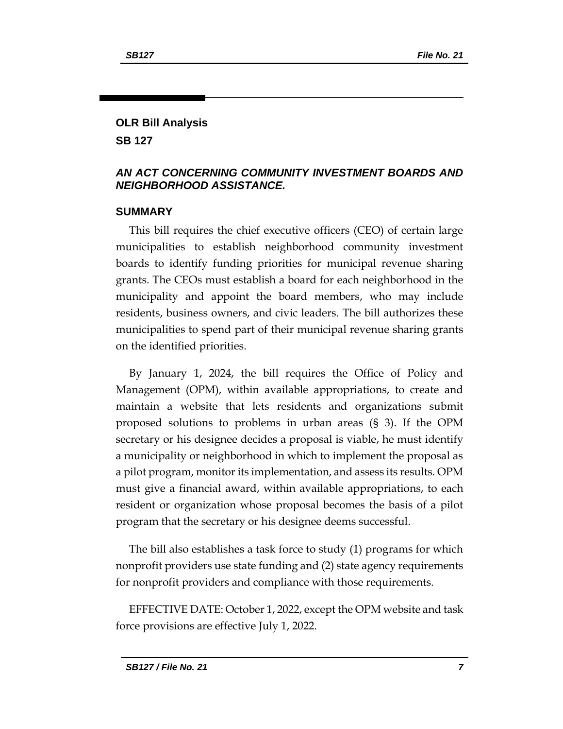# **OLR Bill Analysis**

**SB 127**

# *AN ACT CONCERNING COMMUNITY INVESTMENT BOARDS AND NEIGHBORHOOD ASSISTANCE.*

## **SUMMARY**

This bill requires the chief executive officers (CEO) of certain large municipalities to establish neighborhood community investment boards to identify funding priorities for municipal revenue sharing grants. The CEOs must establish a board for each neighborhood in the municipality and appoint the board members, who may include residents, business owners, and civic leaders. The bill authorizes these municipalities to spend part of their municipal revenue sharing grants on the identified priorities.

By January 1, 2024, the bill requires the Office of Policy and Management (OPM), within available appropriations, to create and maintain a website that lets residents and organizations submit proposed solutions to problems in urban areas (§ 3). If the OPM secretary or his designee decides a proposal is viable, he must identify a municipality or neighborhood in which to implement the proposal as a pilot program, monitor its implementation, and assess its results. OPM must give a financial award, within available appropriations, to each resident or organization whose proposal becomes the basis of a pilot program that the secretary or his designee deems successful.

The bill also establishes a task force to study (1) programs for which nonprofit providers use state funding and (2) state agency requirements for nonprofit providers and compliance with those requirements.

EFFECTIVE DATE: October 1, 2022, except the OPM website and task force provisions are effective July 1, 2022.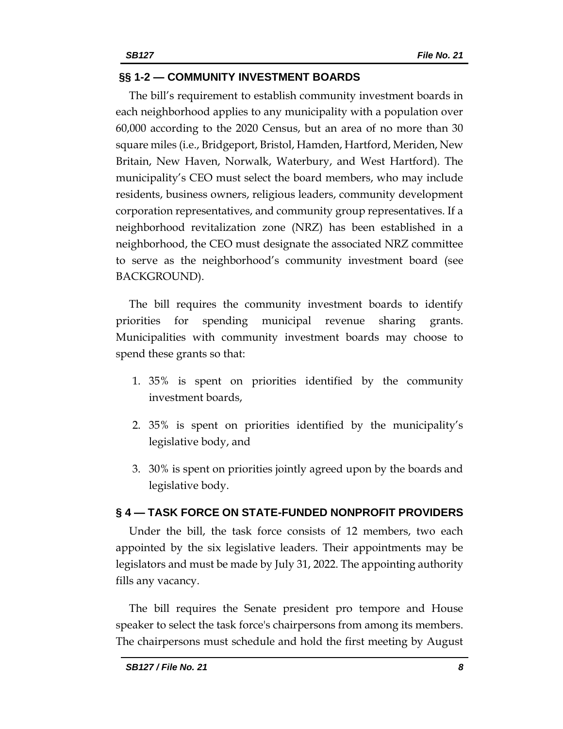# **§§ 1-2 — COMMUNITY INVESTMENT BOARDS**

The bill's requirement to establish community investment boards in each neighborhood applies to any municipality with a population over 60,000 according to the 2020 Census, but an area of no more than 30 square miles (i.e., Bridgeport, Bristol, Hamden, Hartford, Meriden, New Britain, New Haven, Norwalk, Waterbury, and West Hartford). The municipality's CEO must select the board members, who may include residents, business owners, religious leaders, community development corporation representatives, and community group representatives. If a neighborhood revitalization zone (NRZ) has been established in a neighborhood, the CEO must designate the associated NRZ committee to serve as the neighborhood's community investment board (see BACKGROUND).

The bill requires the community investment boards to identify priorities for spending municipal revenue sharing grants. Municipalities with community investment boards may choose to spend these grants so that:

- 1. 35% is spent on priorities identified by the community investment boards,
- 2. 35% is spent on priorities identified by the municipality's legislative body, and
- 3. 30% is spent on priorities jointly agreed upon by the boards and legislative body.

### **§ 4 — TASK FORCE ON STATE-FUNDED NONPROFIT PROVIDERS**

Under the bill, the task force consists of 12 members, two each appointed by the six legislative leaders. Their appointments may be legislators and must be made by July 31, 2022. The appointing authority fills any vacancy.

The bill requires the Senate president pro tempore and House speaker to select the task force's chairpersons from among its members. The chairpersons must schedule and hold the first meeting by August